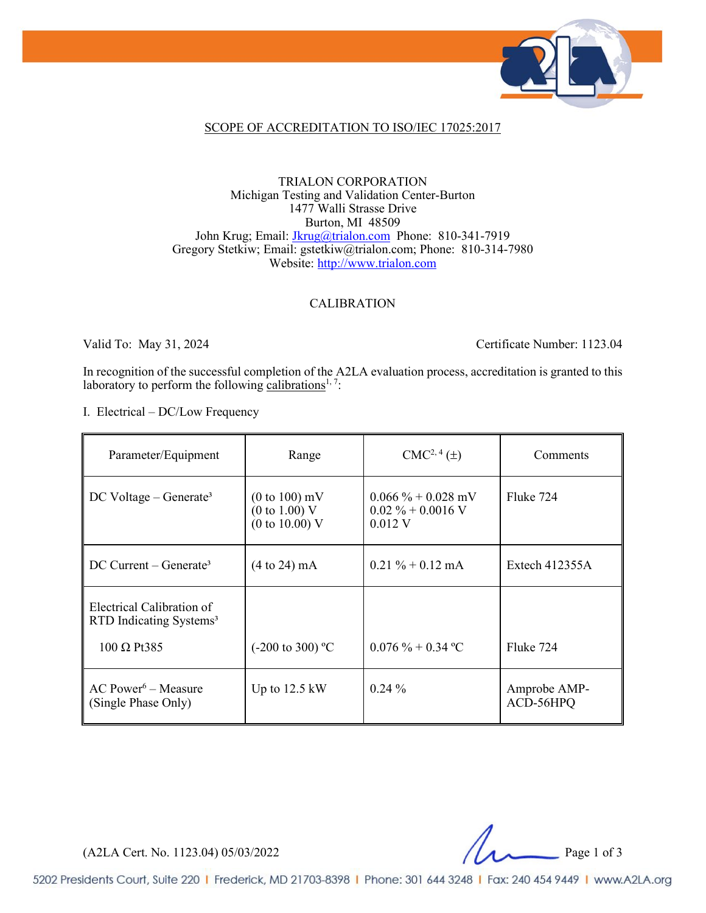

### SCOPE OF ACCREDITATION TO ISO/IEC 17025:2017

#### TRIALON CORPORATION Michigan Testing and Validation Center-Burton 1477 Walli Strasse Drive Burton, MI 48509 John Krug; Email: [Jkrug@trialon.com](mailto:Jkrug@trialon.com) Phone: 810-341-7919 Gregory Stetkiw; Email: gstetkiw@trialon.com; Phone: 810-314-7980 Website: [http://www.trialon.com](http://www.trialon.com/)

### CALIBRATION

Valid To: May 31, 2024 Certificate Number: 1123.04

In recognition of the successful completion of the A2LA evaluation process, accreditation is granted to this laboratory to perform the following calibrations<sup>1, 7</sup>:

I. Electrical – DC/Low Frequency

| Parameter/Equipment                                              | Range                                                                    | $CMC2, 4(\pm)$                                           | Comments                  |
|------------------------------------------------------------------|--------------------------------------------------------------------------|----------------------------------------------------------|---------------------------|
| $DC$ Voltage – Generate <sup>3</sup>                             | $(0 to 100)$ mV<br>$(0 \text{ to } 1.00)$ V<br>$(0 \text{ to } 10.00)$ V | $0.066\% + 0.028$ mV<br>$0.02\% + 0.0016$ V<br>$0.012$ V | Fluke 724                 |
| $DC$ Current – Generate <sup>3</sup>                             | $(4 \text{ to } 24) \text{ mA}$                                          | $0.21 \% + 0.12$ mA                                      | Extech $412355A$          |
| Electrical Calibration of<br>RTD Indicating Systems <sup>3</sup> |                                                                          |                                                          |                           |
| $100 \Omega$ Pt385                                               | $(-200 \text{ to } 300)$ °C                                              | $0.076\% + 0.34\degree C$                                | Fluke 724                 |
| $AC Power6 - Measure$<br>(Single Phase Only)                     | Up to $12.5 \text{ kW}$                                                  | $0.24\%$                                                 | Amprobe AMP-<br>ACD-56HPQ |

(A2LA Cert. No. 1123.04) 05/03/2022 Page 1 of 3

5202 Presidents Court, Suite 220 | Frederick, MD 21703-8398 | Phone: 301 644 3248 | Fax: 240 454 9449 | www.A2LA.org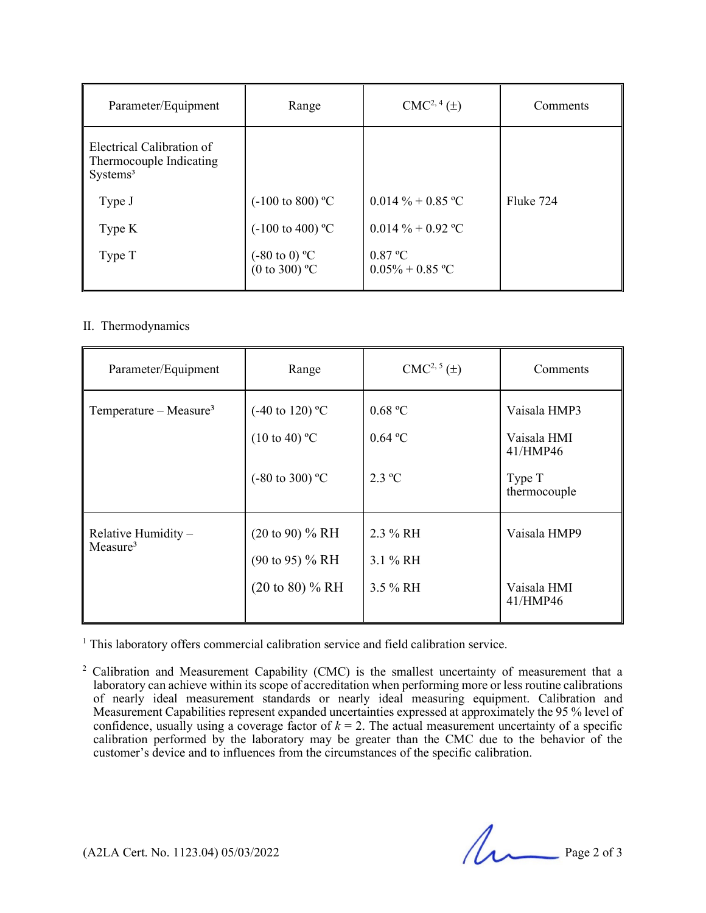| Parameter/Equipment                                                          | Range                                                       | $CMC2, 4(\pm)$                | Comments  |
|------------------------------------------------------------------------------|-------------------------------------------------------------|-------------------------------|-----------|
| Electrical Calibration of<br>Thermocouple Indicating<br>Systems <sup>3</sup> |                                                             |                               |           |
| Type J                                                                       | $(-100 \text{ to } 800)$ °C                                 | $0.014\% + 0.85\degree C$     | Fluke 724 |
| Type K                                                                       | $(-100 \text{ to } 400)$ °C                                 | $0.014\% + 0.92\degree C$     |           |
| Type T                                                                       | $(-80 \text{ to } 0) \text{ °C}$<br>(0 to 300) $\text{ °C}$ | 0.87 °C<br>$0.05\% + 0.85$ °C |           |

### II. Thermodynamics

| Parameter/Equipment                         | Range                                                                                  | $CMC2, 5(\pm)$                         | Comments                                                          |
|---------------------------------------------|----------------------------------------------------------------------------------------|----------------------------------------|-------------------------------------------------------------------|
| Temperature – Measure <sup>3</sup>          | $(-40 \text{ to } 120)$ °C<br>$(10 \text{ to } 40)$ °C<br>$(-80 \text{ to } 300)$ °C   | 0.68 °C<br>0.64 °C<br>$2.3 \text{ °C}$ | Vaisala HMP3<br>Vaisala HMI<br>41/HMP46<br>Type T<br>thermocouple |
| Relative Humidity -<br>Measure <sup>3</sup> | $(20 \text{ to } 90)$ % RH<br>$(90 \text{ to } 95)$ % RH<br>$(20 \text{ to } 80)$ % RH | 2.3 % RH<br>3.1 % RH<br>3.5 % RH       | Vaisala HMP9<br>Vaisala HMI<br>41/HMP46                           |

<sup>1</sup> This laboratory offers commercial calibration service and field calibration service.

<sup>2</sup> Calibration and Measurement Capability (CMC) is the smallest uncertainty of measurement that a laboratory can achieve within its scope of accreditation when performing more or less routine calibrations of nearly ideal measurement standards or nearly ideal measuring equipment. Calibration and Measurement Capabilities represent expanded uncertainties expressed at approximately the 95 % level of confidence, usually using a coverage factor of  $k = 2$ . The actual measurement uncertainty of a specific calibration performed by the laboratory may be greater than the CMC due to the behavior of the customer's device and to influences from the circumstances of the specific calibration.

 $(A2LA$  Cert. No. 1123.04) 05/03/2022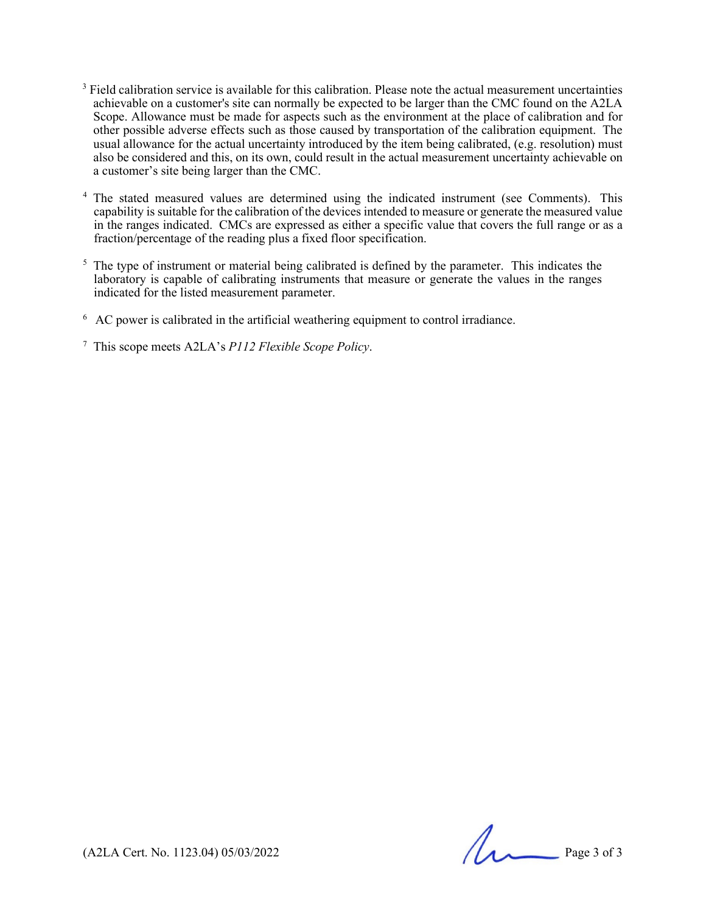- $3$  Field calibration service is available for this calibration. Please note the actual measurement uncertainties achievable on a customer's site can normally be expected to be larger than the CMC found on the A2LA Scope. Allowance must be made for aspects such as the environment at the place of calibration and for other possible adverse effects such as those caused by transportation of the calibration equipment. The usual allowance for the actual uncertainty introduced by the item being calibrated, (e.g. resolution) must also be considered and this, on its own, could result in the actual measurement uncertainty achievable on a customer's site being larger than the CMC.
- <sup>4</sup> The stated measured values are determined using the indicated instrument (see Comments). This capability is suitable for the calibration of the devices intended to measure or generate the measured value in the ranges indicated. CMCs are expressed as either a specific value that covers the full range or as a fraction/percentage of the reading plus a fixed floor specification.
- <sup>5</sup> The type of instrument or material being calibrated is defined by the parameter. This indicates the laboratory is capable of calibrating instruments that measure or generate the values in the ranges indicated for the listed measurement parameter.
- <sup>6</sup> AC power is calibrated in the artificial weathering equipment to control irradiance.

<sup>7</sup> This scope meets A2LA's *P112 Flexible Scope Policy*.

 $(A2LA$  Cert. No. 1123.04) 05/03/2022